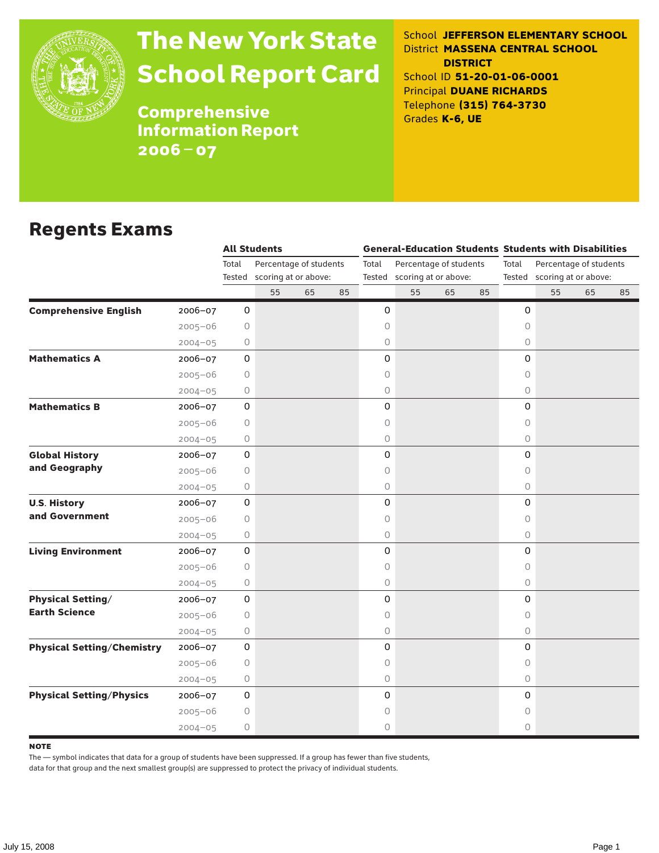

## The New York State School Report Card

School **JEFFERSON ELEMENTARY SCHOOL** District **MASSENA CENTRAL SCHOOL DISTRICT** School ID **51-20-01-06-0001** Principal **DUANE RICHARDS** Telephone **(315) 764-3730** Grades **K-6, UE**

**Comprehensive** Information Report 2006–07

#### Regents Exams

|                                   |             | <b>All Students</b> |                                                       |    |    | <b>General-Education Students Students with Disabilities</b> |                                                       |    |    |             |                                                       |    |    |  |
|-----------------------------------|-------------|---------------------|-------------------------------------------------------|----|----|--------------------------------------------------------------|-------------------------------------------------------|----|----|-------------|-------------------------------------------------------|----|----|--|
|                                   |             | Total               | Percentage of students<br>Tested scoring at or above: |    |    | Total                                                        | Percentage of students<br>Tested scoring at or above: |    |    | Total       | Percentage of students<br>Tested scoring at or above: |    |    |  |
|                                   |             |                     | 55                                                    | 65 | 85 |                                                              | 55                                                    | 65 | 85 |             | 55                                                    | 65 | 85 |  |
| <b>Comprehensive English</b>      | 2006-07     | $\mathbf 0$         |                                                       |    |    | 0                                                            |                                                       |    |    | $\mathbf 0$ |                                                       |    |    |  |
|                                   | $2005 - 06$ | 0                   |                                                       |    |    | 0                                                            |                                                       |    |    | 0           |                                                       |    |    |  |
|                                   | $2004 - 05$ | 0                   |                                                       |    |    | 0                                                            |                                                       |    |    | $\circ$     |                                                       |    |    |  |
| <b>Mathematics A</b>              | 2006-07     | 0                   |                                                       |    |    | 0                                                            |                                                       |    |    | $\Omega$    |                                                       |    |    |  |
|                                   | $2005 - 06$ | 0                   |                                                       |    |    | 0                                                            |                                                       |    |    | 0           |                                                       |    |    |  |
|                                   | $2004 - 05$ | 0                   |                                                       |    |    | 0                                                            |                                                       |    |    | $\circ$     |                                                       |    |    |  |
| <b>Mathematics B</b>              | $2006 - 07$ | 0                   |                                                       |    |    | 0                                                            |                                                       |    |    | 0           |                                                       |    |    |  |
|                                   | $2005 - 06$ | 0                   |                                                       |    |    | 0                                                            |                                                       |    |    | $\circ$     |                                                       |    |    |  |
|                                   | $2004 - 05$ | 0                   |                                                       |    |    | 0                                                            |                                                       |    |    | $\circ$     |                                                       |    |    |  |
| <b>Global History</b>             | 2006-07     | 0                   |                                                       |    |    | 0                                                            |                                                       |    |    | 0           |                                                       |    |    |  |
| and Geography                     | $2005 - 06$ | 0                   |                                                       |    |    | 0                                                            |                                                       |    |    | 0           |                                                       |    |    |  |
|                                   | $2004 - 05$ | 0                   |                                                       |    |    | 0                                                            |                                                       |    |    | $\circ$     |                                                       |    |    |  |
| <b>U.S. History</b>               | $2006 - 07$ | 0                   |                                                       |    |    | 0                                                            |                                                       |    |    | $\Omega$    |                                                       |    |    |  |
| and Government                    | $2005 - 06$ | 0                   |                                                       |    |    | 0                                                            |                                                       |    |    | 0           |                                                       |    |    |  |
|                                   | $2004 - 05$ | 0                   |                                                       |    |    | 0                                                            |                                                       |    |    | $\circ$     |                                                       |    |    |  |
| <b>Living Environment</b>         | $2006 - 07$ | 0                   |                                                       |    |    | 0                                                            |                                                       |    |    | 0           |                                                       |    |    |  |
|                                   | $2005 - 06$ | 0                   |                                                       |    |    | 0                                                            |                                                       |    |    | $\circ$     |                                                       |    |    |  |
|                                   | $2004 - 05$ | 0                   |                                                       |    |    | 0                                                            |                                                       |    |    | $\circ$     |                                                       |    |    |  |
| <b>Physical Setting/</b>          | $2006 - 07$ | 0                   |                                                       |    |    | 0                                                            |                                                       |    |    | 0           |                                                       |    |    |  |
| <b>Earth Science</b>              | $2005 - 06$ | 0                   |                                                       |    |    | 0                                                            |                                                       |    |    | 0           |                                                       |    |    |  |
|                                   | $2004 - 05$ | 0                   |                                                       |    |    | 0                                                            |                                                       |    |    | $\circ$     |                                                       |    |    |  |
| <b>Physical Setting/Chemistry</b> | $2006 - 07$ | 0                   |                                                       |    |    | 0                                                            |                                                       |    |    | 0           |                                                       |    |    |  |
|                                   | $2005 - 06$ | 0                   |                                                       |    |    | 0                                                            |                                                       |    |    | 0           |                                                       |    |    |  |
|                                   | $2004 - 05$ | 0                   |                                                       |    |    | 0                                                            |                                                       |    |    | $\circ$     |                                                       |    |    |  |
| <b>Physical Setting/Physics</b>   | 2006-07     | 0                   |                                                       |    |    | 0                                                            |                                                       |    |    | $\mathbf 0$ |                                                       |    |    |  |
|                                   | $2005 - 06$ | 0                   |                                                       |    |    | 0                                                            |                                                       |    |    | 0           |                                                       |    |    |  |
|                                   | $2004 - 05$ | 0                   |                                                       |    |    | 0                                                            |                                                       |    |    | 0           |                                                       |    |    |  |

**NOTE** 

The — symbol indicates that data for a group of students have been suppressed. If a group has fewer than five students,

data for that group and the next smallest group(s) are suppressed to protect the privacy of individual students.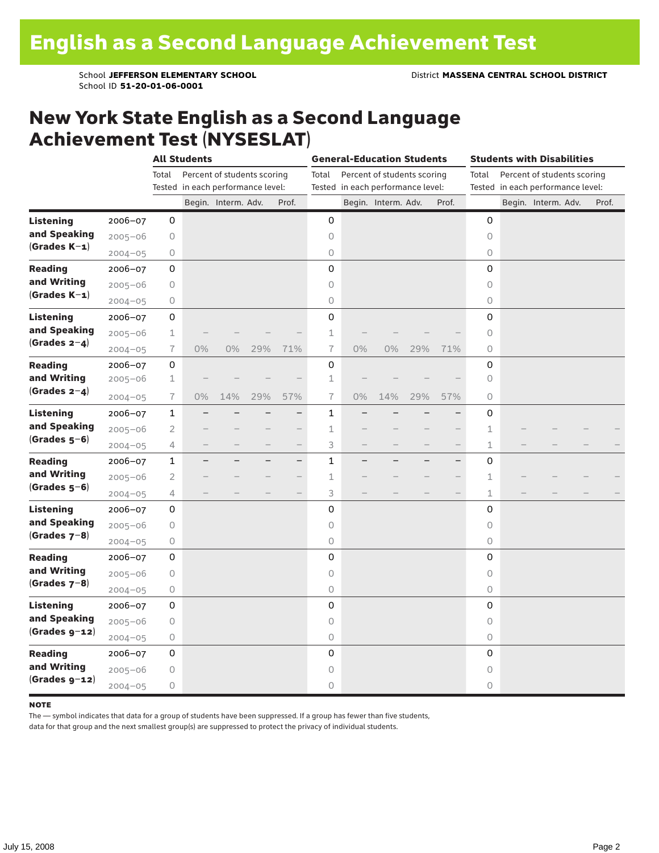School ID **51-20-01-06-0001**

#### New York State English as a Second Language Achievement Test (NYSESLAT)

|                  |             | <b>All Students</b> |                                   |                             |     |                          | <b>General-Education Students</b> |                                   |                             |     |                                   | <b>Students with Disabilities</b> |  |                             |  |       |  |
|------------------|-------------|---------------------|-----------------------------------|-----------------------------|-----|--------------------------|-----------------------------------|-----------------------------------|-----------------------------|-----|-----------------------------------|-----------------------------------|--|-----------------------------|--|-------|--|
|                  |             | Total               |                                   | Percent of students scoring |     |                          | Total                             |                                   | Percent of students scoring |     |                                   | Total                             |  | Percent of students scoring |  |       |  |
|                  |             |                     | Tested in each performance level: |                             |     |                          |                                   | Tested in each performance level: |                             |     | Tested in each performance level: |                                   |  |                             |  |       |  |
|                  |             |                     |                                   | Begin. Interm. Adv.         |     | Prof.                    |                                   |                                   | Begin. Interm. Adv.         |     | Prof.                             |                                   |  | Begin. Interm. Adv.         |  | Prof. |  |
| <b>Listening</b> | 2006-07     | 0                   |                                   |                             |     |                          | 0                                 |                                   |                             |     |                                   | 0                                 |  |                             |  |       |  |
| and Speaking     | $2005 - 06$ | 0                   |                                   |                             |     |                          | $\circ$                           |                                   |                             |     |                                   | $\circ$                           |  |                             |  |       |  |
| $(Grades K-1)$   | $2004 - 05$ | 0                   |                                   |                             |     |                          | 0                                 |                                   |                             |     |                                   | 0                                 |  |                             |  |       |  |
| <b>Reading</b>   | $2006 - 07$ | 0                   |                                   |                             |     |                          | 0                                 |                                   |                             |     |                                   | 0                                 |  |                             |  |       |  |
| and Writing      | $2005 - 06$ | 0                   |                                   |                             |     |                          | $\circ$                           |                                   |                             |     |                                   | 0                                 |  |                             |  |       |  |
| $(Grades K-1)$   | $2004 - 05$ | 0                   |                                   |                             |     |                          | $\circ$                           |                                   |                             |     |                                   | 0                                 |  |                             |  |       |  |
| <b>Listening</b> | $2006 - 07$ | 0                   |                                   |                             |     |                          | 0                                 |                                   |                             |     |                                   | 0                                 |  |                             |  |       |  |
| and Speaking     | $2005 - 06$ | 1                   |                                   |                             |     |                          | $\mathbf 1$                       |                                   |                             |     |                                   | $\circ$                           |  |                             |  |       |  |
| $(Grades 2-4)$   | $2004 - 05$ | 7                   | $0\%$                             | 0%                          | 29% | 71%                      | $\overline{1}$                    | 0%                                | 0%                          | 29% | 71%                               | 0                                 |  |                             |  |       |  |
| <b>Reading</b>   | 2006-07     | 0                   |                                   |                             |     |                          | 0                                 |                                   |                             |     |                                   | 0                                 |  |                             |  |       |  |
| and Writing      | $2005 - 06$ | $\mathbf 1$         |                                   |                             |     |                          | $\mathbf 1$                       |                                   |                             |     |                                   | 0                                 |  |                             |  |       |  |
| (Grades $2-4$ )  | $2004 - 05$ | 7                   | $0\%$                             | 14%                         | 29% | 57%                      | $\overline{1}$                    | 0%                                | 14%                         | 29% | 57%                               | 0                                 |  |                             |  |       |  |
| <b>Listening</b> | $2006 - 07$ | $\mathbf{1}$        |                                   |                             |     | $\overline{\phantom{0}}$ | 1                                 |                                   |                             |     |                                   | 0                                 |  |                             |  |       |  |
| and Speaking     | $2005 - 06$ | $\overline{2}$      |                                   |                             |     | $\overline{\phantom{0}}$ | 1                                 |                                   |                             |     |                                   | 1                                 |  |                             |  |       |  |
| $(Grades 5-6)$   | $2004 - 05$ | 4                   |                                   |                             |     | $\qquad \qquad -$        | 3                                 |                                   |                             |     | $\overline{\phantom{0}}$          | $\mathbf 1$                       |  |                             |  |       |  |
| <b>Reading</b>   | $2006 - 07$ | 1                   | ÷,                                |                             | -   | $\qquad \qquad -$        | $\mathbf{1}$                      |                                   |                             |     | $\overline{\phantom{0}}$          | 0                                 |  |                             |  |       |  |
| and Writing      | $2005 - 06$ | 2                   |                                   |                             |     | $\overline{\phantom{0}}$ | $\mathbf 1$                       |                                   |                             |     | $\overline{\phantom{0}}$          | 1                                 |  |                             |  |       |  |
| $(Grades 5-6)$   | $2004 - 05$ | 4                   |                                   |                             |     | $\overline{\phantom{0}}$ | 3                                 |                                   |                             |     | $\overline{\phantom{0}}$          | $\mathbf{1}$                      |  |                             |  |       |  |
| <b>Listening</b> | $2006 - 07$ | 0                   |                                   |                             |     |                          | 0                                 |                                   |                             |     |                                   | 0                                 |  |                             |  |       |  |
| and Speaking     | $2005 - 06$ | 0                   |                                   |                             |     |                          | $\circ$                           |                                   |                             |     |                                   | $\circ$                           |  |                             |  |       |  |
| $(Grades 7-8)$   | $2004 - 05$ | 0                   |                                   |                             |     |                          | 0                                 |                                   |                             |     |                                   | 0                                 |  |                             |  |       |  |
| <b>Reading</b>   | $2006 - 07$ | 0                   |                                   |                             |     |                          | 0                                 |                                   |                             |     |                                   | 0                                 |  |                             |  |       |  |
| and Writing      | $2005 - 06$ | 0                   |                                   |                             |     |                          | $\circ$                           |                                   |                             |     |                                   | $\circ$                           |  |                             |  |       |  |
| $(Grades 7-8)$   | $2004 - 05$ | 0                   |                                   |                             |     |                          | $\bigcirc$                        |                                   |                             |     |                                   | 0                                 |  |                             |  |       |  |
| <b>Listening</b> | $2006 - 07$ | 0                   |                                   |                             |     |                          | 0                                 |                                   |                             |     |                                   | 0                                 |  |                             |  |       |  |
| and Speaking     | $2005 - 06$ | 0                   |                                   |                             |     |                          | 0                                 |                                   |                             |     |                                   | $\circ$                           |  |                             |  |       |  |
| $(Grades g-12)$  | $2004 - 05$ | 0                   |                                   |                             |     |                          | $\bigcirc$                        |                                   |                             |     |                                   | $\circ$                           |  |                             |  |       |  |
| <b>Reading</b>   | $2006 - 07$ | 0                   |                                   |                             |     |                          | 0                                 |                                   |                             |     |                                   | 0                                 |  |                             |  |       |  |
| and Writing      | $2005 - 06$ | 0                   |                                   |                             |     |                          | $\circ$                           |                                   |                             |     |                                   | $\circ$                           |  |                             |  |       |  |
| $(Grades g-12)$  | $2004 - 05$ | 0                   |                                   |                             |     |                          | 0                                 |                                   |                             |     |                                   | 0                                 |  |                             |  |       |  |

#### **NOTE**

The — symbol indicates that data for a group of students have been suppressed. If a group has fewer than five students,

data for that group and the next smallest group(s) are suppressed to protect the privacy of individual students.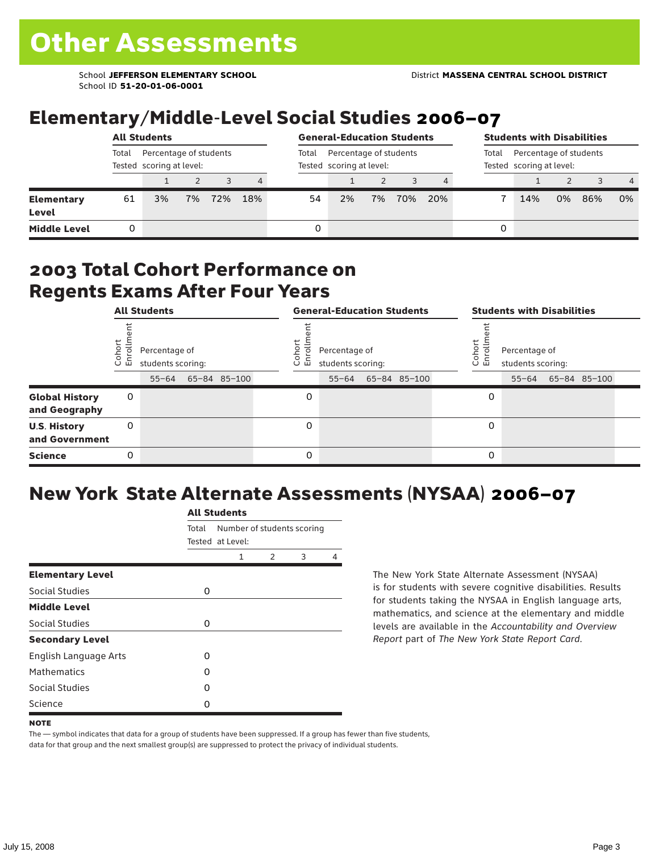School ID **51-20-01-06-0001**

## Elementary/Middle-Level Social Studies 2006–07

|                            | <b>All Students</b>                                         |    |    |     |     |       | <b>General-Education Students</b>                  |                                                             | <b>Students with Disabilities</b> |     |   |     |    |     |                |
|----------------------------|-------------------------------------------------------------|----|----|-----|-----|-------|----------------------------------------------------|-------------------------------------------------------------|-----------------------------------|-----|---|-----|----|-----|----------------|
|                            | Percentage of students<br>Total<br>Tested scoring at level: |    |    |     |     | Total | Percentage of students<br>Tested scoring at level: | Percentage of students<br>Total<br>Tested scoring at level: |                                   |     |   |     |    |     |                |
|                            |                                                             |    |    |     | 4   |       |                                                    |                                                             |                                   |     |   |     |    |     | $\overline{4}$ |
| <b>Elementary</b><br>Level | 61                                                          | 3% | 7% | 72% | 18% | 54    | 2%                                                 | 7%                                                          | 70%                               | 20% |   | 14% | 0% | 86% | 0%             |
| <b>Middle Level</b>        |                                                             |    |    |     |     | 0     |                                                    |                                                             |                                   |     | 0 |     |    |     |                |

#### 2003 Total Cohort Performance on Regents Exams After Four Years

|                                        | <b>All Students</b> |                                                 |  |              | <b>General-Education Students</b> |                                                 |  |              |  |                  | <b>Students with Disabilities</b>  |  |                    |  |  |
|----------------------------------------|---------------------|-------------------------------------------------|--|--------------|-----------------------------------|-------------------------------------------------|--|--------------|--|------------------|------------------------------------|--|--------------------|--|--|
|                                        | Cohort<br>Enrollm   | Percentage of<br>students scoring:<br>$55 - 64$ |  | 65-84 85-100 | Cohoi<br>o.<br>屲                  | Percentage of<br>students scoring:<br>$55 - 64$ |  | 65-84 85-100 |  | Cohort<br>S<br>문 | Percentage of<br>students scoring: |  | 55-64 65-84 85-100 |  |  |
| <b>Global History</b><br>and Geography | 0                   |                                                 |  |              | 0                                 |                                                 |  |              |  | 0                |                                    |  |                    |  |  |
| <b>U.S. History</b><br>and Government  | 0                   |                                                 |  |              | 0                                 |                                                 |  |              |  | 0                |                                    |  |                    |  |  |
| <b>Science</b>                         | 0                   |                                                 |  |              | 0                                 |                                                 |  |              |  | 0                |                                    |  |                    |  |  |

### New York State Alternate Assessments (NYSAA) 2006–07

|                         |       | AIL SLUUCIILS                                  |   |   |   |  |  |  |  |  |  |  |
|-------------------------|-------|------------------------------------------------|---|---|---|--|--|--|--|--|--|--|
|                         | Total | Number of students scoring<br>Tested at Level: |   |   |   |  |  |  |  |  |  |  |
|                         |       | 1                                              | 2 | 3 | 4 |  |  |  |  |  |  |  |
| <b>Elementary Level</b> |       |                                                |   |   |   |  |  |  |  |  |  |  |
| Social Studies          | 0     |                                                |   |   |   |  |  |  |  |  |  |  |
| <b>Middle Level</b>     |       |                                                |   |   |   |  |  |  |  |  |  |  |
| Social Studies          | 0     |                                                |   |   |   |  |  |  |  |  |  |  |
| <b>Secondary Level</b>  |       |                                                |   |   |   |  |  |  |  |  |  |  |
| English Language Arts   | 0     |                                                |   |   |   |  |  |  |  |  |  |  |
| <b>Mathematics</b>      | 0     |                                                |   |   |   |  |  |  |  |  |  |  |
| Social Studies          | O     |                                                |   |   |   |  |  |  |  |  |  |  |
| Science                 | Ω     |                                                |   |   |   |  |  |  |  |  |  |  |

All C<sub>tude</sub>

The New York State Alternate Assessment (NYSAA) is for students with severe cognitive disabilities. Results for students taking the NYSAA in English language arts, mathematics, and science at the elementary and middle levels are available in the *Accountability and Overview Report* part of *The New York State Report Card*.

The — symbol indicates that data for a group of students have been suppressed. If a group has fewer than five students, data for that group and the next smallest group(s) are suppressed to protect the privacy of individual students.

**NOTE**